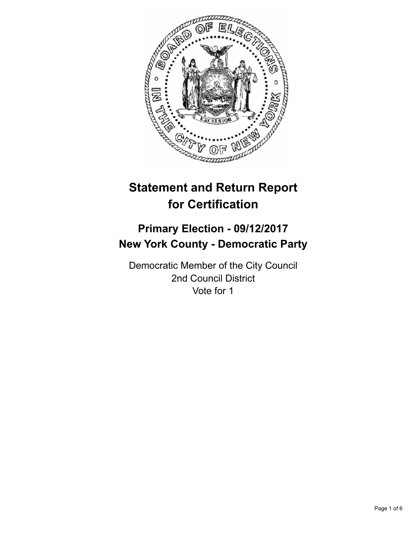

# **Statement and Return Report for Certification**

# **Primary Election - 09/12/2017 New York County - Democratic Party**

Democratic Member of the City Council 2nd Council District Vote for 1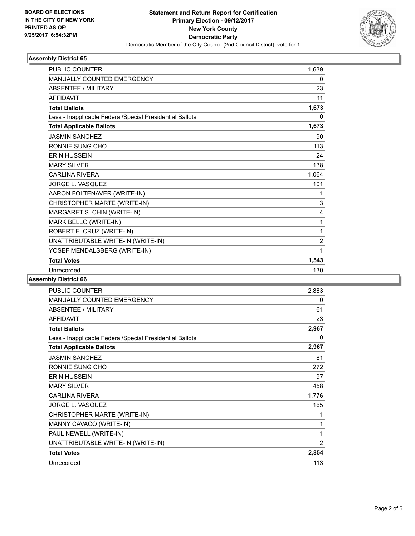

## **Assembly District 65**

| <b>PUBLIC COUNTER</b>                                    | 1,639          |
|----------------------------------------------------------|----------------|
| <b>MANUALLY COUNTED EMERGENCY</b>                        | 0              |
| ABSENTEE / MILITARY                                      | 23             |
| <b>AFFIDAVIT</b>                                         | 11             |
| <b>Total Ballots</b>                                     | 1,673          |
| Less - Inapplicable Federal/Special Presidential Ballots | 0              |
| <b>Total Applicable Ballots</b>                          | 1,673          |
| <b>JASMIN SANCHEZ</b>                                    | 90             |
| RONNIE SUNG CHO                                          | 113            |
| <b>ERIN HUSSEIN</b>                                      | 24             |
| <b>MARY SILVER</b>                                       | 138            |
| <b>CARLINA RIVERA</b>                                    | 1,064          |
| JORGE L. VASQUEZ                                         | 101            |
| AARON FOLTENAVER (WRITE-IN)                              | 1              |
| CHRISTOPHER MARTE (WRITE-IN)                             | 3              |
| MARGARET S. CHIN (WRITE-IN)                              | 4              |
| MARK BELLO (WRITE-IN)                                    | 1              |
| ROBERT E. CRUZ (WRITE-IN)                                | 1              |
| UNATTRIBUTABLE WRITE-IN (WRITE-IN)                       | $\overline{2}$ |
| YOSEF MENDALSBERG (WRITE-IN)                             | 1              |
| <b>Total Votes</b>                                       | 1,543          |
| Unrecorded                                               | 130            |
|                                                          |                |

#### **Assembly District 66**

| <b>PUBLIC COUNTER</b>                                    | 2,883          |
|----------------------------------------------------------|----------------|
| <b>MANUALLY COUNTED EMERGENCY</b>                        | 0              |
| <b>ABSENTEE / MILITARY</b>                               | 61             |
| <b>AFFIDAVIT</b>                                         | 23             |
| <b>Total Ballots</b>                                     | 2,967          |
| Less - Inapplicable Federal/Special Presidential Ballots | 0              |
| <b>Total Applicable Ballots</b>                          | 2,967          |
| <b>JASMIN SANCHEZ</b>                                    | 81             |
| RONNIE SUNG CHO                                          | 272            |
| <b>ERIN HUSSEIN</b>                                      | 97             |
| <b>MARY SILVER</b>                                       | 458            |
| <b>CARLINA RIVERA</b>                                    | 1,776          |
| JORGE L. VASQUEZ                                         | 165            |
| CHRISTOPHER MARTE (WRITE-IN)                             | 1              |
| MANNY CAVACO (WRITE-IN)                                  | 1              |
| PAUL NEWELL (WRITE-IN)                                   | 1              |
| UNATTRIBUTABLE WRITE-IN (WRITE-IN)                       | $\overline{2}$ |
| <b>Total Votes</b>                                       | 2,854          |
| Unrecorded                                               | 113            |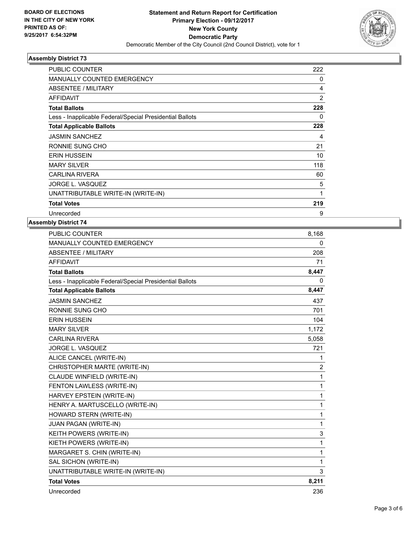

## **Assembly District 73**

| <b>PUBLIC COUNTER</b>                                    | 222            |
|----------------------------------------------------------|----------------|
| <b>MANUALLY COUNTED EMERGENCY</b>                        | 0              |
| ABSENTEE / MILITARY                                      | 4              |
| <b>AFFIDAVIT</b>                                         | $\overline{2}$ |
| <b>Total Ballots</b>                                     | 228            |
| Less - Inapplicable Federal/Special Presidential Ballots | 0              |
| <b>Total Applicable Ballots</b>                          | 228            |
| <b>JASMIN SANCHEZ</b>                                    | 4              |
| RONNIE SUNG CHO                                          | 21             |
| <b>ERIN HUSSEIN</b>                                      | 10             |
| <b>MARY SILVER</b>                                       | 118            |
| <b>CARLINA RIVERA</b>                                    | 60             |
| <b>JORGE L. VASQUEZ</b>                                  | 5              |
| UNATTRIBUTABLE WRITE-IN (WRITE-IN)                       | $\mathbf 1$    |
| <b>Total Votes</b>                                       | 219            |
| Unrecorded                                               | 9              |

#### **Assembly District 74**

|                                                          | 8,168          |
|----------------------------------------------------------|----------------|
| <b>MANUALLY COUNTED EMERGENCY</b>                        | 0              |
| <b>ABSENTEE / MILITARY</b>                               | 208            |
| <b>AFFIDAVIT</b>                                         | 71             |
| <b>Total Ballots</b>                                     | 8,447          |
| Less - Inapplicable Federal/Special Presidential Ballots | 0              |
| <b>Total Applicable Ballots</b>                          | 8,447          |
| <b>JASMIN SANCHEZ</b>                                    | 437            |
| RONNIE SUNG CHO                                          | 701            |
| <b>ERIN HUSSEIN</b>                                      | 104            |
| <b>MARY SILVER</b>                                       | 1,172          |
| <b>CARLINA RIVERA</b>                                    | 5,058          |
| JORGE L. VASQUEZ                                         | 721            |
| ALICE CANCEL (WRITE-IN)                                  | 1              |
| CHRISTOPHER MARTE (WRITE-IN)                             | $\overline{2}$ |
| CLAUDE WINFIELD (WRITE-IN)                               | 1              |
| FENTON LAWLESS (WRITE-IN)                                | 1              |
| HARVEY EPSTEIN (WRITE-IN)                                | 1              |
| HENRY A. MARTUSCELLO (WRITE-IN)                          | 1              |
| HOWARD STERN (WRITE-IN)                                  | 1              |
| JUAN PAGAN (WRITE-IN)                                    | 1              |
| KEITH POWERS (WRITE-IN)                                  | 3              |
| KIETH POWERS (WRITE-IN)                                  | 1              |
| MARGARET S. CHIN (WRITE-IN)                              | 1              |
| SAL SICHON (WRITE-IN)                                    | 1              |
| UNATTRIBUTABLE WRITE-IN (WRITE-IN)                       | 3              |
| <b>Total Votes</b>                                       | 8,211          |
| Unrecorded                                               | 236            |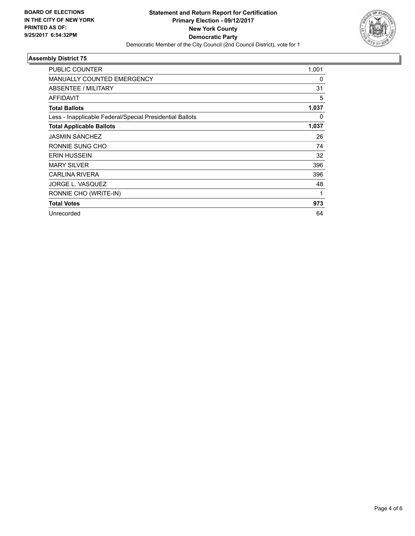

## **Assembly District 75**

| PUBLIC COUNTER                                           | 1,001 |
|----------------------------------------------------------|-------|
| <b>MANUALLY COUNTED EMERGENCY</b>                        | 0     |
| ABSENTEE / MILITARY                                      | 31    |
| <b>AFFIDAVIT</b>                                         | 5     |
| <b>Total Ballots</b>                                     | 1,037 |
| Less - Inapplicable Federal/Special Presidential Ballots | 0     |
| <b>Total Applicable Ballots</b>                          | 1,037 |
| <b>JASMIN SANCHEZ</b>                                    | 26    |
| RONNIE SUNG CHO                                          | 74    |
| <b>ERIN HUSSEIN</b>                                      | 32    |
| <b>MARY SILVER</b>                                       | 396   |
| <b>CARLINA RIVERA</b>                                    | 396   |
| JORGE L. VASQUEZ                                         | 48    |
| RONNIE CHO (WRITE-IN)                                    | 1     |
| <b>Total Votes</b>                                       | 973   |
| Unrecorded                                               | 64    |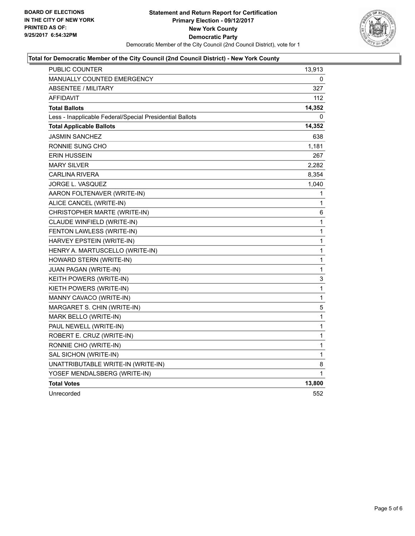

## **Total for Democratic Member of the City Council (2nd Council District) - New York County**

| PUBLIC COUNTER                                           | 13,913      |
|----------------------------------------------------------|-------------|
| <b>MANUALLY COUNTED EMERGENCY</b>                        | 0           |
| ABSENTEE / MILITARY                                      | 327         |
| AFFIDAVIT                                                | 112         |
| <b>Total Ballots</b>                                     | 14,352      |
| Less - Inapplicable Federal/Special Presidential Ballots | 0           |
| <b>Total Applicable Ballots</b>                          | 14,352      |
| <b>JASMIN SANCHEZ</b>                                    | 638         |
| RONNIE SUNG CHO                                          | 1,181       |
| ERIN HUSSEIN                                             | 267         |
| <b>MARY SILVER</b>                                       | 2,282       |
| <b>CARLINA RIVERA</b>                                    | 8,354       |
| JORGE L. VASQUEZ                                         | 1,040       |
| AARON FOLTENAVER (WRITE-IN)                              | 1           |
| ALICE CANCEL (WRITE-IN)                                  | 1           |
| CHRISTOPHER MARTE (WRITE-IN)                             | 6           |
| CLAUDE WINFIELD (WRITE-IN)                               | 1           |
| FENTON LAWLESS (WRITE-IN)                                | 1           |
| HARVEY EPSTEIN (WRITE-IN)                                | 1           |
| HENRY A. MARTUSCELLO (WRITE-IN)                          | 1           |
| HOWARD STERN (WRITE-IN)                                  | 1           |
| JUAN PAGAN (WRITE-IN)                                    | $\mathbf 1$ |
| KEITH POWERS (WRITE-IN)                                  | 3           |
| KIETH POWERS (WRITE-IN)                                  | 1           |
| MANNY CAVACO (WRITE-IN)                                  | 1           |
| MARGARET S. CHIN (WRITE-IN)                              | 5           |
| MARK BELLO (WRITE-IN)                                    | 1           |
| PAUL NEWELL (WRITE-IN)                                   | 1           |
| ROBERT E. CRUZ (WRITE-IN)                                | 1           |
| RONNIE CHO (WRITE-IN)                                    | 1           |
| SAL SICHON (WRITE-IN)                                    | 1           |
| UNATTRIBUTABLE WRITE-IN (WRITE-IN)                       | 8           |
| YOSEF MENDALSBERG (WRITE-IN)                             | 1           |
| <b>Total Votes</b>                                       | 13,800      |
| Unrecorded                                               | 552         |